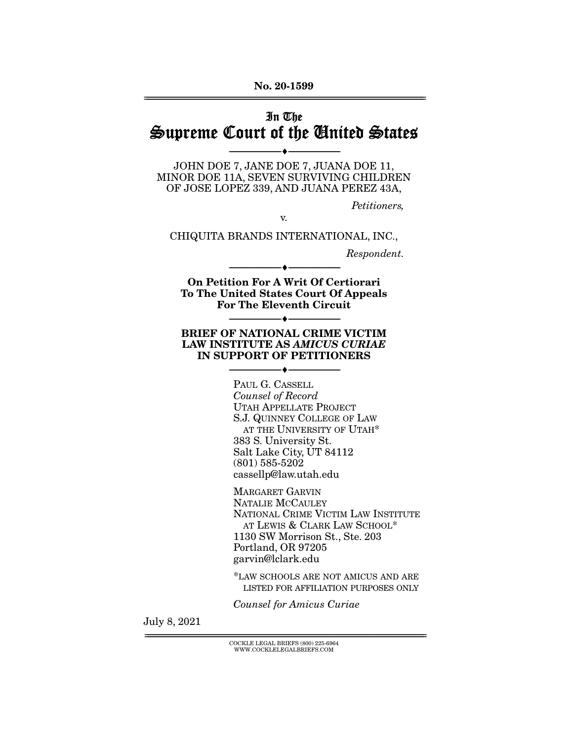## In The Supreme Court of the United States

--------------------------------- ♦ ---------------------------------

JOHN DOE 7, JANE DOE 7, JUANA DOE 11, MINOR DOE 11A, SEVEN SURVIVING CHILDREN OF JOSE LOPEZ 339, AND JUANA PEREZ 43A,

Petitioners,

v.

CHIQUITA BRANDS INTERNATIONAL, INC.,

Respondent.

**On Petition For A Writ Of Certiorari To The United States Court Of Appeals For The Eleventh Circuit** 

--------------------------------- ♦ ---------------------------------

--------------------------------- ♦ ---------------------------------

#### **BRIEF OF NATIONAL CRIME VICTIM LAW INSTITUTE AS** *AMICUS CURIAE*  **IN SUPPORT OF PETITIONERS**

 $\bullet$  -

PAUL G. CASSELL Counsel of Record UTAH APPELLATE PROJECT S.J. QUINNEY COLLEGE OF LAW AT THE UNIVERSITY OF UTAH\* 383 S. University St. Salt Lake City, UT 84112 (801) 585-5202 cassellp@law.utah.edu

MARGARET GARVIN NATALIE MCCAULEY NATIONAL CRIME VICTIM LAW INSTITUTE AT LEWIS & CLARK LAW SCHOOL\* 1130 SW Morrison St., Ste. 203 Portland, OR 97205 garvin@lclark.edu

\*LAW SCHOOLS ARE NOT AMICUS AND ARE LISTED FOR AFFILIATION PURPOSES ONLY

Counsel for Amicus Curiae

July 8, 2021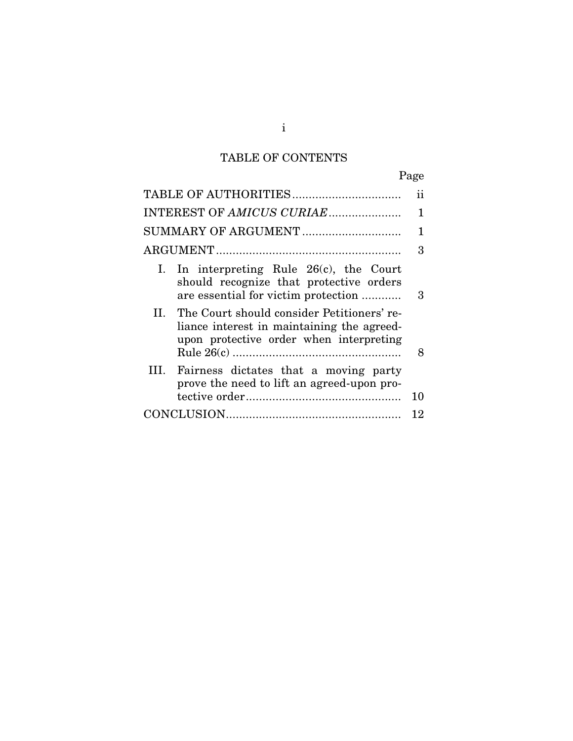# TABLE OF CONTENTS

|                                                                                                                                         | 11 |
|-----------------------------------------------------------------------------------------------------------------------------------------|----|
|                                                                                                                                         | 1  |
| SUMMARY OF ARGUMENT                                                                                                                     | 1  |
|                                                                                                                                         | 3  |
| In interpreting Rule $26(c)$ , the Court<br>Ι.<br>should recognize that protective orders<br>are essential for victim protection        | 3  |
| II. The Court should consider Petitioners' re-<br>liance interest in maintaining the agreed-<br>upon protective order when interpreting | 8  |
| HL.<br>Fairness dictates that a moving party<br>prove the need to lift an agreed-upon pro-                                              |    |
|                                                                                                                                         | 10 |
|                                                                                                                                         | 12 |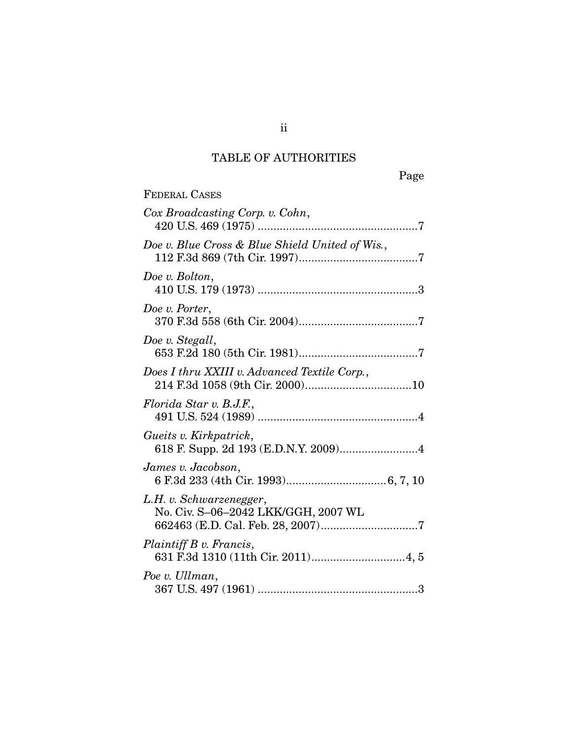## TABLE OF AUTHORITIES

| <b>FEDERAL CASES</b>                                           |
|----------------------------------------------------------------|
| Cox Broadcasting Corp. v. Cohn,                                |
| Doe v. Blue Cross & Blue Shield United of Wis.,                |
| Doe v. Bolton,                                                 |
| Doe v. Porter,                                                 |
| Doe v. Stegall,                                                |
| Does I thru XXIII v. Advanced Textile Corp.,                   |
| Florida Star v. B.J.F.,                                        |
| Gueits v. Kirkpatrick,<br>618 F. Supp. 2d 193 (E.D.N.Y. 2009)4 |
| James v. Jacobson,                                             |
| L.H. v. Schwarzenegger,<br>No. Civ. S-06-2042 LKK/GGH, 2007 WL |
| Plaintiff B v. Francis,                                        |
| Poe v. Ullman,                                                 |

ii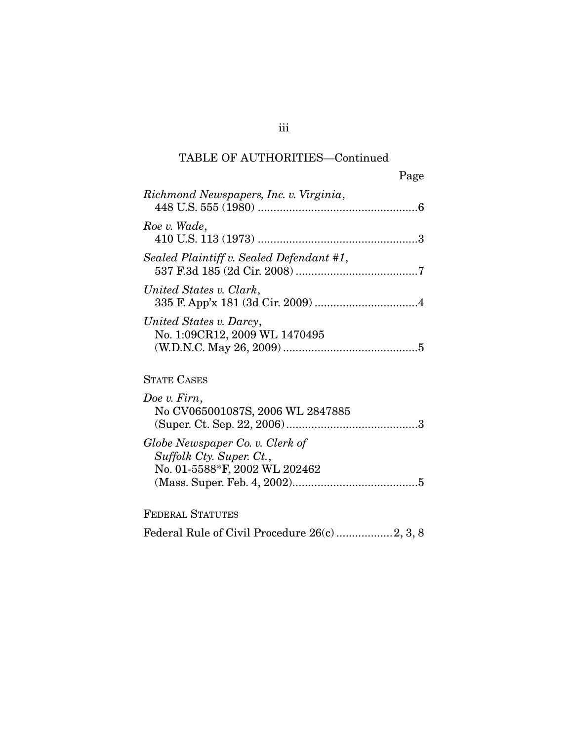## TABLE OF AUTHORITIES—Continued

|                                                                                              | Page |
|----------------------------------------------------------------------------------------------|------|
| Richmond Newspapers, Inc. v. Virginia,                                                       |      |
| Roe v. Wade,                                                                                 |      |
| Sealed Plaintiff v. Sealed Defendant #1,                                                     |      |
| United States v. Clark,                                                                      |      |
| United States v. Darcy,<br>No. 1:09CR12, 2009 WL 1470495                                     |      |
| <b>STATE CASES</b>                                                                           |      |
| Doe v. Firn,<br>No CV065001087S, 2006 WL 2847885                                             |      |
| Globe Newspaper Co. v. Clerk of<br>Suffolk Cty. Super. Ct.,<br>No. 01-5588*F, 2002 WL 202462 |      |

FEDERAL STATUTES

Federal Rule of Civil Procedure 26(c) .................. 2, 3, 8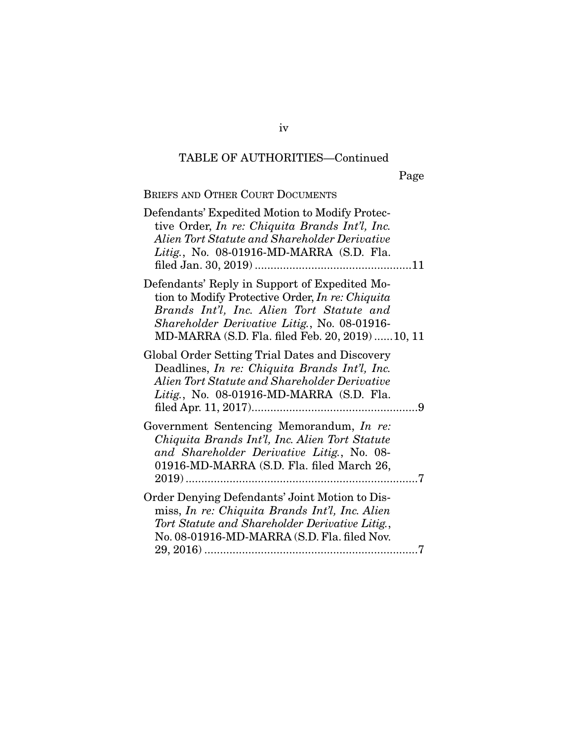# TABLE OF AUTHORITIES—Continued

## BRIEFS AND OTHER COURT DOCUMENTS

| Defendants' Expedited Motion to Modify Protec-<br>tive Order, In re: Chiquita Brands Int'l, Inc.<br>Alien Tort Statute and Shareholder Derivative<br>Litig., No. 08-01916-MD-MARRA (S.D. Fla.                                                             |
|-----------------------------------------------------------------------------------------------------------------------------------------------------------------------------------------------------------------------------------------------------------|
| Defendants' Reply in Support of Expedited Mo-<br>tion to Modify Protective Order, <i>In re: Chiquita</i><br>Brands Int'l, Inc. Alien Tort Statute and<br>Shareholder Derivative Litig., No. 08-01916-<br>MD-MARRA (S.D. Fla. filed Feb. 20, 2019)  10, 11 |
| Global Order Setting Trial Dates and Discovery<br>Deadlines, <i>In re: Chiquita Brands Int'l</i> , <i>Inc.</i><br>Alien Tort Statute and Shareholder Derivative<br>Litig., No. 08-01916-MD-MARRA (S.D. Fla.                                               |
| Government Sentencing Memorandum, In re:<br>Chiquita Brands Int'l, Inc. Alien Tort Statute<br>and Shareholder Derivative Litig., No. 08-<br>01916-MD-MARRA (S.D. Fla. filed March 26,                                                                     |
| Order Denying Defendants' Joint Motion to Dis-<br>miss, In re: Chiquita Brands Int'l, Inc. Alien<br>Tort Statute and Shareholder Derivative Litig.,<br>No. 08-01916-MD-MARRA (S.D. Fla. filed Nov.                                                        |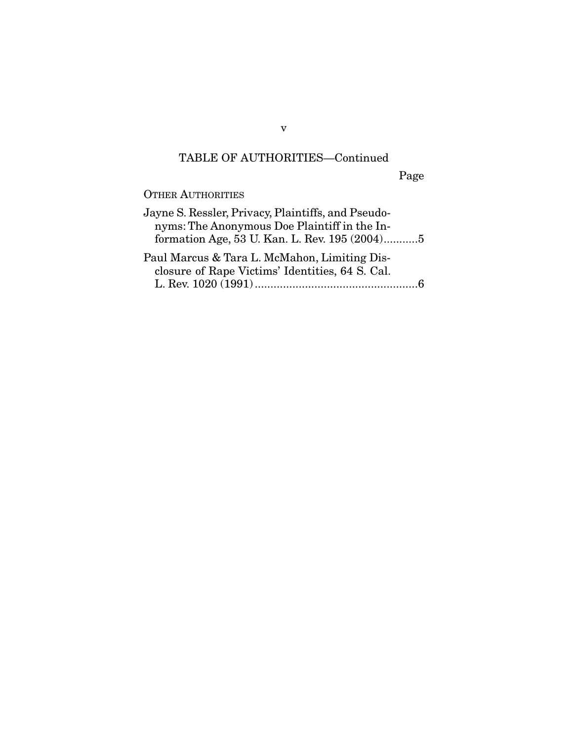## TABLE OF AUTHORITIES—Continued

Page

OTHER AUTHORITIES

| Jayne S. Ressler, Privacy, Plaintiffs, and Pseudo- |  |
|----------------------------------------------------|--|
| nyms: The Anonymous Doe Plaintiff in the In-       |  |
| formation Age, 53 U. Kan. L. Rev. 195 (2004)5      |  |
| Paul Marcus & Tara L. McMahon, Limiting Dis-       |  |
| closure of Rape Victims' Identities, 64 S. Cal.    |  |
|                                                    |  |

v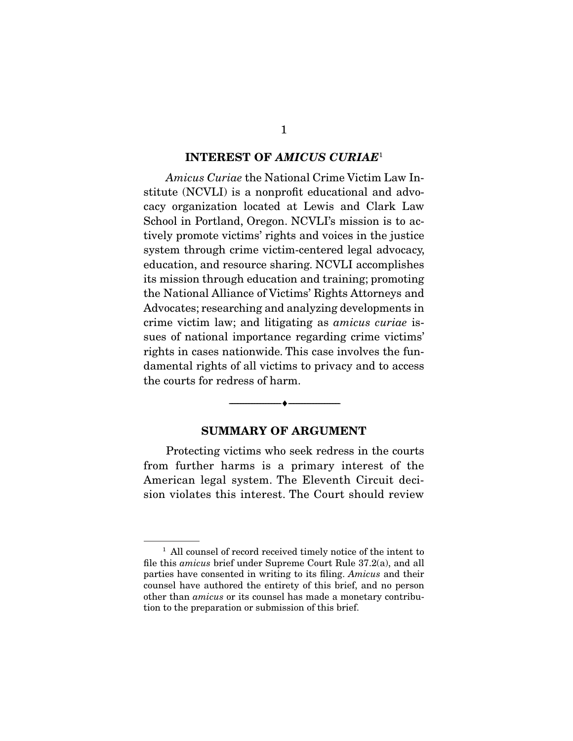#### **INTEREST OF** *AMICUS CURIAE*<sup>1</sup>

Amicus Curiae the National Crime Victim Law Institute (NCVLI) is a nonprofit educational and advocacy organization located at Lewis and Clark Law School in Portland, Oregon. NCVLI's mission is to actively promote victims' rights and voices in the justice system through crime victim-centered legal advocacy, education, and resource sharing. NCVLI accomplishes its mission through education and training; promoting the National Alliance of Victims' Rights Attorneys and Advocates; researching and analyzing developments in crime victim law; and litigating as amicus curiae issues of national importance regarding crime victims' rights in cases nationwide. This case involves the fundamental rights of all victims to privacy and to access the courts for redress of harm.

#### **SUMMARY OF ARGUMENT**

--------------------------------- ♦ ---------------------------------

 Protecting victims who seek redress in the courts from further harms is a primary interest of the American legal system. The Eleventh Circuit decision violates this interest. The Court should review

<sup>&</sup>lt;sup>1</sup> All counsel of record received timely notice of the intent to file this amicus brief under Supreme Court Rule 37.2(a), and all parties have consented in writing to its filing. Amicus and their counsel have authored the entirety of this brief, and no person other than amicus or its counsel has made a monetary contribution to the preparation or submission of this brief.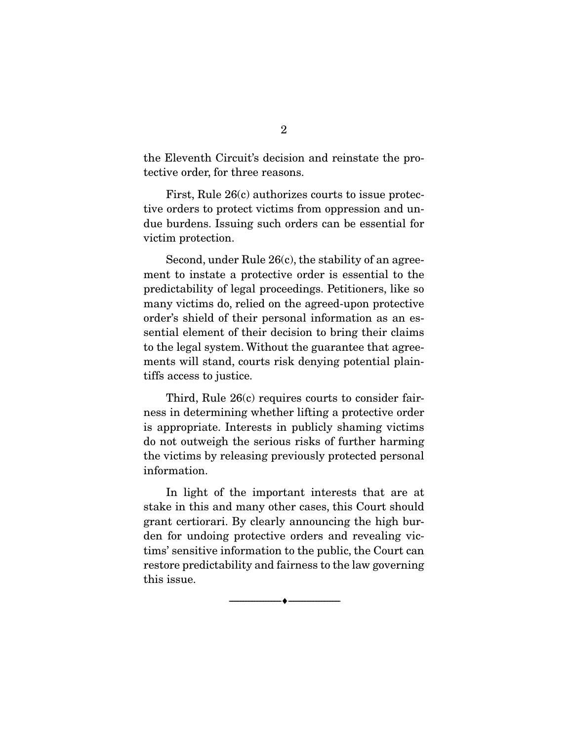the Eleventh Circuit's decision and reinstate the protective order, for three reasons.

 First, Rule 26(c) authorizes courts to issue protective orders to protect victims from oppression and undue burdens. Issuing such orders can be essential for victim protection.

 Second, under Rule 26(c), the stability of an agreement to instate a protective order is essential to the predictability of legal proceedings. Petitioners, like so many victims do, relied on the agreed-upon protective order's shield of their personal information as an essential element of their decision to bring their claims to the legal system. Without the guarantee that agreements will stand, courts risk denying potential plaintiffs access to justice.

 Third, Rule 26(c) requires courts to consider fairness in determining whether lifting a protective order is appropriate. Interests in publicly shaming victims do not outweigh the serious risks of further harming the victims by releasing previously protected personal information.

 In light of the important interests that are at stake in this and many other cases, this Court should grant certiorari. By clearly announcing the high burden for undoing protective orders and revealing victims' sensitive information to the public, the Court can restore predictability and fairness to the law governing this issue.

--------------------------------- ♦ ---------------------------------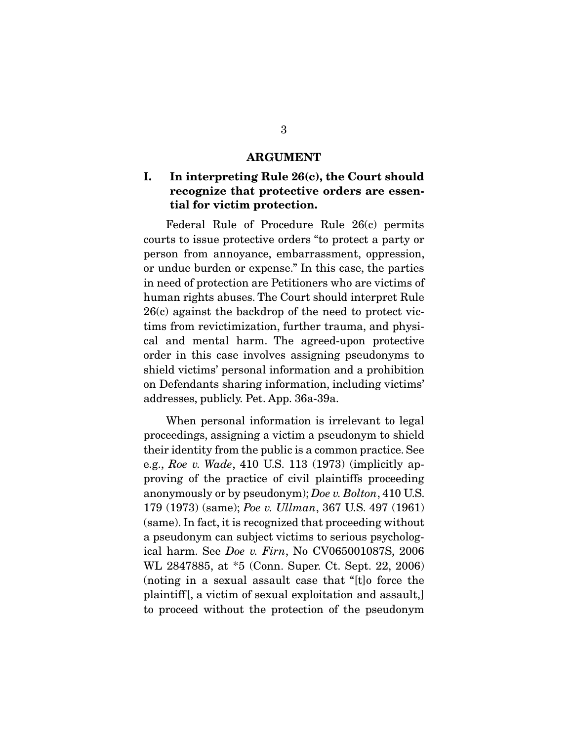#### **ARGUMENT**

### **I. In interpreting Rule 26(c), the Court should recognize that protective orders are essential for victim protection.**

 Federal Rule of Procedure Rule 26(c) permits courts to issue protective orders "to protect a party or person from annoyance, embarrassment, oppression, or undue burden or expense." In this case, the parties in need of protection are Petitioners who are victims of human rights abuses. The Court should interpret Rule 26(c) against the backdrop of the need to protect victims from revictimization, further trauma, and physical and mental harm. The agreed-upon protective order in this case involves assigning pseudonyms to shield victims' personal information and a prohibition on Defendants sharing information, including victims' addresses, publicly. Pet. App. 36a-39a.

 When personal information is irrelevant to legal proceedings, assigning a victim a pseudonym to shield their identity from the public is a common practice. See e.g., Roe v. Wade, 410 U.S. 113 (1973) (implicitly approving of the practice of civil plaintiffs proceeding anonymously or by pseudonym); Doe v. Bolton, 410 U.S. 179 (1973) (same); Poe v. Ullman, 367 U.S. 497 (1961) (same). In fact, it is recognized that proceeding without a pseudonym can subject victims to serious psychological harm. See Doe v. Firn, No CV065001087S, 2006 WL 2847885, at \*5 (Conn. Super. Ct. Sept. 22, 2006) (noting in a sexual assault case that "[t]o force the plaintiff[, a victim of sexual exploitation and assault,] to proceed without the protection of the pseudonym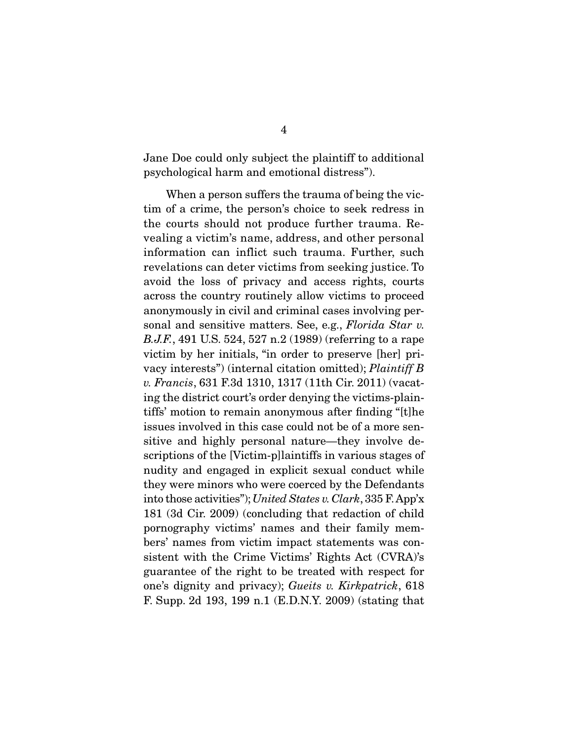Jane Doe could only subject the plaintiff to additional psychological harm and emotional distress").

 When a person suffers the trauma of being the victim of a crime, the person's choice to seek redress in the courts should not produce further trauma. Revealing a victim's name, address, and other personal information can inflict such trauma. Further, such revelations can deter victims from seeking justice. To avoid the loss of privacy and access rights, courts across the country routinely allow victims to proceed anonymously in civil and criminal cases involving personal and sensitive matters. See, e.g., Florida Star v. B.J.F., 491 U.S. 524, 527 n.2 (1989) (referring to a rape victim by her initials, "in order to preserve [her] privacy interests") (internal citation omitted); Plaintiff B v. Francis, 631 F.3d 1310, 1317 (11th Cir. 2011) (vacating the district court's order denying the victims-plaintiffs' motion to remain anonymous after finding "[t]he issues involved in this case could not be of a more sensitive and highly personal nature—they involve descriptions of the [Victim-p]laintiffs in various stages of nudity and engaged in explicit sexual conduct while they were minors who were coerced by the Defendants into those activities"); United States v. Clark, 335 F. App'x 181 (3d Cir. 2009) (concluding that redaction of child pornography victims' names and their family members' names from victim impact statements was consistent with the Crime Victims' Rights Act (CVRA)'s guarantee of the right to be treated with respect for one's dignity and privacy); Gueits v. Kirkpatrick, 618 F. Supp. 2d 193, 199 n.1 (E.D.N.Y. 2009) (stating that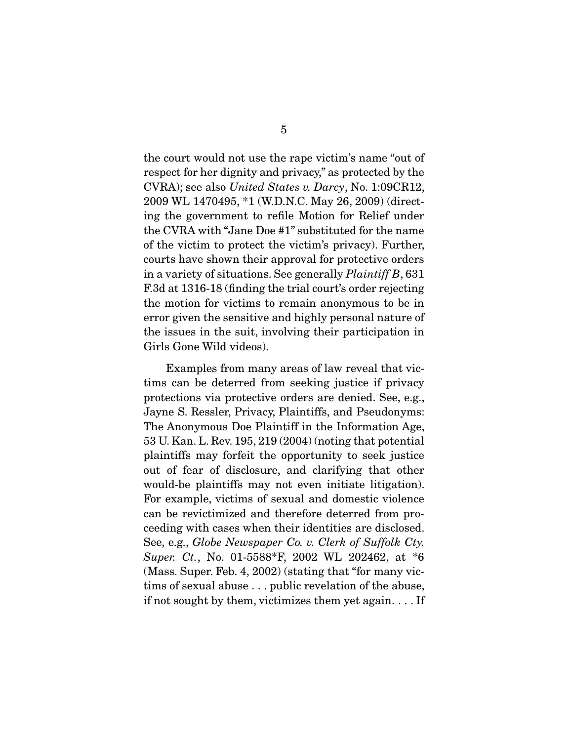the court would not use the rape victim's name "out of respect for her dignity and privacy," as protected by the CVRA); see also United States v. Darcy, No. 1:09CR12, 2009 WL 1470495, \*1 (W.D.N.C. May 26, 2009) (directing the government to refile Motion for Relief under the CVRA with "Jane Doe #1" substituted for the name of the victim to protect the victim's privacy). Further, courts have shown their approval for protective orders in a variety of situations. See generally Plaintiff B, 631 F.3d at 1316-18 (finding the trial court's order rejecting the motion for victims to remain anonymous to be in error given the sensitive and highly personal nature of the issues in the suit, involving their participation in Girls Gone Wild videos).

 Examples from many areas of law reveal that victims can be deterred from seeking justice if privacy protections via protective orders are denied. See, e.g., Jayne S. Ressler, Privacy, Plaintiffs, and Pseudonyms: The Anonymous Doe Plaintiff in the Information Age, 53 U. Kan. L. Rev. 195, 219 (2004) (noting that potential plaintiffs may forfeit the opportunity to seek justice out of fear of disclosure, and clarifying that other would-be plaintiffs may not even initiate litigation). For example, victims of sexual and domestic violence can be revictimized and therefore deterred from proceeding with cases when their identities are disclosed. See, e.g., Globe Newspaper Co. v. Clerk of Suffolk Cty. Super. Ct., No. 01-5588\*F, 2002 WL 202462, at \*6 (Mass. Super. Feb. 4, 2002) (stating that "for many victims of sexual abuse . . . public revelation of the abuse, if not sought by them, victimizes them yet again. . . . If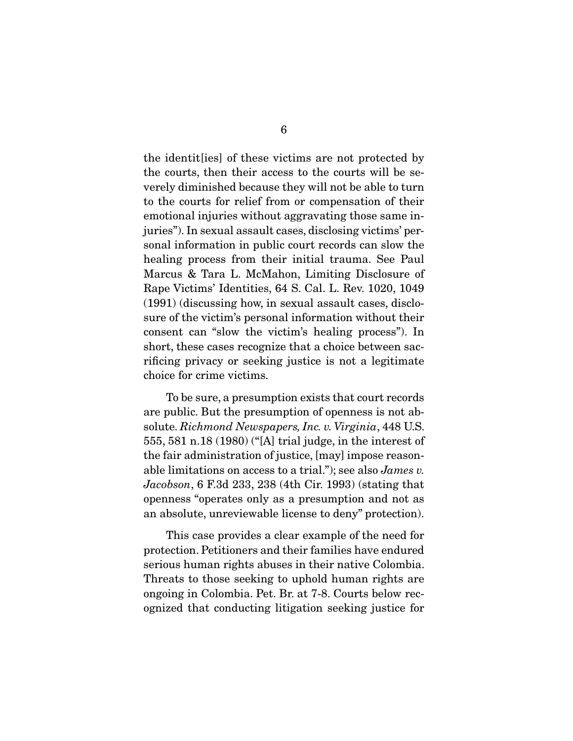the identit[ies] of these victims are not protected by the courts, then their access to the courts will be severely diminished because they will not be able to turn to the courts for relief from or compensation of their emotional injuries without aggravating those same injuries"). In sexual assault cases, disclosing victims' personal information in public court records can slow the healing process from their initial trauma. See Paul Marcus & Tara L. McMahon, Limiting Disclosure of Rape Victims' Identities, 64 S. Cal. L. Rev. 1020, 1049 (1991) (discussing how, in sexual assault cases, disclosure of the victim's personal information without their consent can "slow the victim's healing process"). In short, these cases recognize that a choice between sacrificing privacy or seeking justice is not a legitimate choice for crime victims.

 To be sure, a presumption exists that court records are public. But the presumption of openness is not absolute. Richmond Newspapers, Inc. v. Virginia, 448 U.S. 555, 581 n.18 (1980) ("[A] trial judge, in the interest of the fair administration of justice, [may] impose reasonable limitations on access to a trial."); see also James v. Jacobson, 6 F.3d 233, 238 (4th Cir. 1993) (stating that openness "operates only as a presumption and not as an absolute, unreviewable license to deny" protection).

 This case provides a clear example of the need for protection. Petitioners and their families have endured serious human rights abuses in their native Colombia. Threats to those seeking to uphold human rights are ongoing in Colombia. Pet. Br. at 7-8. Courts below recognized that conducting litigation seeking justice for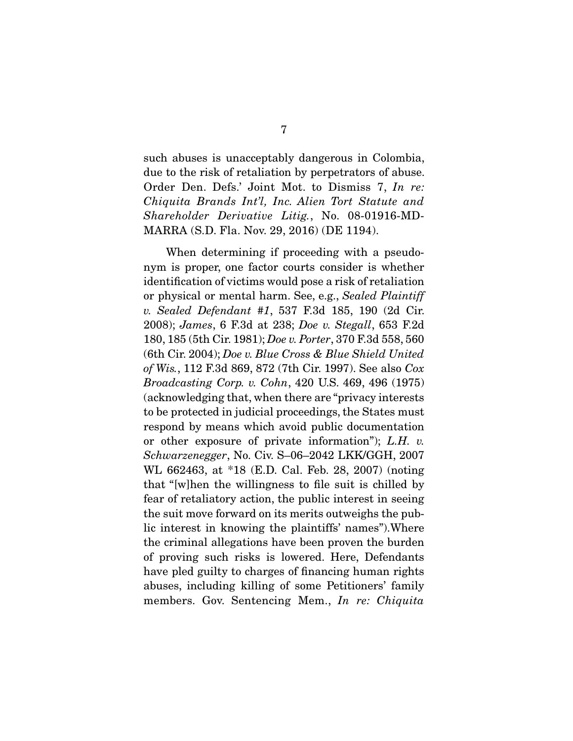such abuses is unacceptably dangerous in Colombia, due to the risk of retaliation by perpetrators of abuse. Order Den. Defs.' Joint Mot. to Dismiss 7, In re: Chiquita Brands Int'l, Inc. Alien Tort Statute and Shareholder Derivative Litig., No. 08-01916-MD-MARRA (S.D. Fla. Nov. 29, 2016) (DE 1194).

 When determining if proceeding with a pseudonym is proper, one factor courts consider is whether identification of victims would pose a risk of retaliation or physical or mental harm. See, e.g., Sealed Plaintiff v. Sealed Defendant #1, 537 F.3d 185, 190 (2d Cir. 2008); James, 6 F.3d at 238; Doe v. Stegall, 653 F.2d 180, 185 (5th Cir. 1981); Doe v. Porter, 370 F.3d 558, 560 (6th Cir. 2004); Doe v. Blue Cross & Blue Shield United of Wis., 112 F.3d 869, 872 (7th Cir. 1997). See also Cox Broadcasting Corp. v. Cohn, 420 U.S. 469, 496 (1975) (acknowledging that, when there are "privacy interests to be protected in judicial proceedings, the States must respond by means which avoid public documentation or other exposure of private information"); L.H. v. Schwarzenegger, No. Civ. S–06–2042 LKK/GGH, 2007 WL 662463, at \*18 (E.D. Cal. Feb. 28, 2007) (noting that "[w]hen the willingness to file suit is chilled by fear of retaliatory action, the public interest in seeing the suit move forward on its merits outweighs the public interest in knowing the plaintiffs' names").Where the criminal allegations have been proven the burden of proving such risks is lowered. Here, Defendants have pled guilty to charges of financing human rights abuses, including killing of some Petitioners' family members. Gov. Sentencing Mem., In re: Chiquita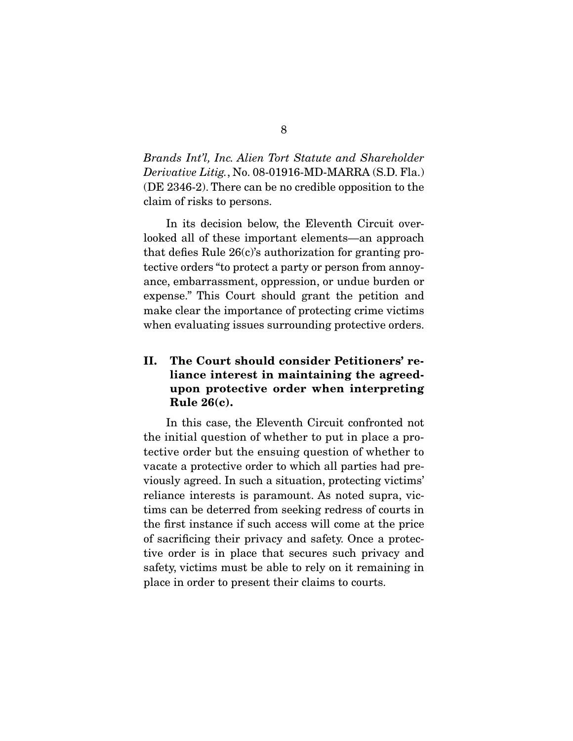Brands Int'l, Inc. Alien Tort Statute and Shareholder Derivative Litig., No. 08-01916-MD-MARRA (S.D. Fla.) (DE 2346-2). There can be no credible opposition to the claim of risks to persons.

 In its decision below, the Eleventh Circuit overlooked all of these important elements—an approach that defies Rule 26(c)'s authorization for granting protective orders "to protect a party or person from annoyance, embarrassment, oppression, or undue burden or expense." This Court should grant the petition and make clear the importance of protecting crime victims when evaluating issues surrounding protective orders.

### **II. The Court should consider Petitioners' reliance interest in maintaining the agreedupon protective order when interpreting Rule 26(c).**

 In this case, the Eleventh Circuit confronted not the initial question of whether to put in place a protective order but the ensuing question of whether to vacate a protective order to which all parties had previously agreed. In such a situation, protecting victims' reliance interests is paramount. As noted supra, victims can be deterred from seeking redress of courts in the first instance if such access will come at the price of sacrificing their privacy and safety. Once a protective order is in place that secures such privacy and safety, victims must be able to rely on it remaining in place in order to present their claims to courts.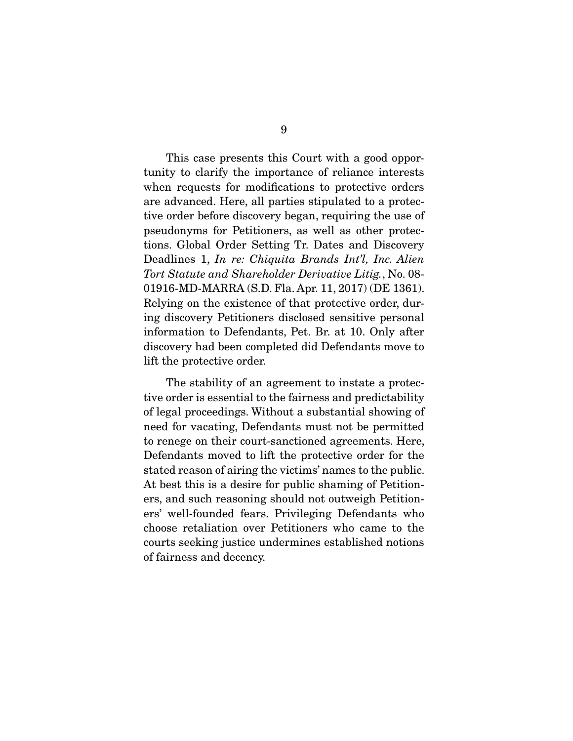This case presents this Court with a good opportunity to clarify the importance of reliance interests when requests for modifications to protective orders are advanced. Here, all parties stipulated to a protective order before discovery began, requiring the use of pseudonyms for Petitioners, as well as other protections. Global Order Setting Tr. Dates and Discovery Deadlines 1, In re: Chiquita Brands Int'l, Inc. Alien Tort Statute and Shareholder Derivative Litig., No. 08- 01916-MD-MARRA (S.D. Fla. Apr. 11, 2017) (DE 1361). Relying on the existence of that protective order, during discovery Petitioners disclosed sensitive personal information to Defendants, Pet. Br. at 10. Only after discovery had been completed did Defendants move to lift the protective order.

 The stability of an agreement to instate a protective order is essential to the fairness and predictability of legal proceedings. Without a substantial showing of need for vacating, Defendants must not be permitted to renege on their court-sanctioned agreements. Here, Defendants moved to lift the protective order for the stated reason of airing the victims' names to the public. At best this is a desire for public shaming of Petitioners, and such reasoning should not outweigh Petitioners' well-founded fears. Privileging Defendants who choose retaliation over Petitioners who came to the courts seeking justice undermines established notions of fairness and decency.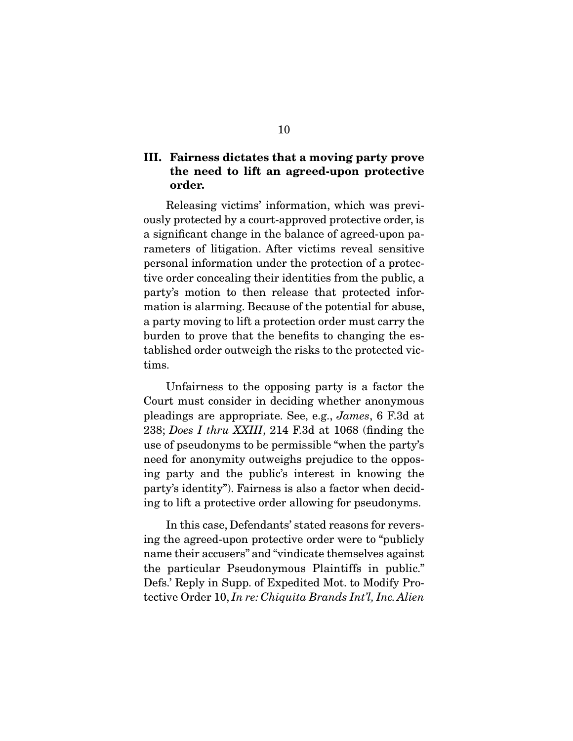### **III. Fairness dictates that a moving party prove the need to lift an agreed-upon protective order.**

 Releasing victims' information, which was previously protected by a court-approved protective order, is a significant change in the balance of agreed-upon parameters of litigation. After victims reveal sensitive personal information under the protection of a protective order concealing their identities from the public, a party's motion to then release that protected information is alarming. Because of the potential for abuse, a party moving to lift a protection order must carry the burden to prove that the benefits to changing the established order outweigh the risks to the protected victims.

 Unfairness to the opposing party is a factor the Court must consider in deciding whether anonymous pleadings are appropriate. See, e.g., James, 6 F.3d at 238; Does I thru XXIII, 214 F.3d at 1068 (finding the use of pseudonyms to be permissible "when the party's need for anonymity outweighs prejudice to the opposing party and the public's interest in knowing the party's identity"). Fairness is also a factor when deciding to lift a protective order allowing for pseudonyms.

 In this case, Defendants' stated reasons for reversing the agreed-upon protective order were to "publicly name their accusers" and "vindicate themselves against the particular Pseudonymous Plaintiffs in public." Defs.' Reply in Supp. of Expedited Mot. to Modify Protective Order 10, In re: Chiquita Brands Int'l, Inc. Alien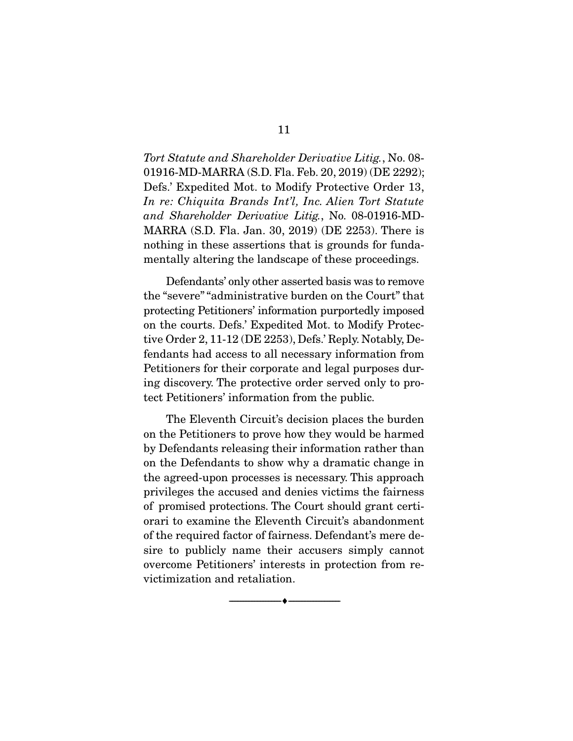Tort Statute and Shareholder Derivative Litig., No. 08- 01916-MD-MARRA (S.D. Fla. Feb. 20, 2019) (DE 2292); Defs.' Expedited Mot. to Modify Protective Order 13, In re: Chiquita Brands Int'l, Inc. Alien Tort Statute and Shareholder Derivative Litig., No. 08-01916-MD-MARRA (S.D. Fla. Jan. 30, 2019) (DE 2253). There is nothing in these assertions that is grounds for fundamentally altering the landscape of these proceedings.

 Defendants' only other asserted basis was to remove the "severe" "administrative burden on the Court" that protecting Petitioners' information purportedly imposed on the courts. Defs.' Expedited Mot. to Modify Protective Order 2, 11-12 (DE 2253), Defs.' Reply. Notably, Defendants had access to all necessary information from Petitioners for their corporate and legal purposes during discovery. The protective order served only to protect Petitioners' information from the public.

 The Eleventh Circuit's decision places the burden on the Petitioners to prove how they would be harmed by Defendants releasing their information rather than on the Defendants to show why a dramatic change in the agreed-upon processes is necessary. This approach privileges the accused and denies victims the fairness of promised protections. The Court should grant certiorari to examine the Eleventh Circuit's abandonment of the required factor of fairness. Defendant's mere desire to publicly name their accusers simply cannot overcome Petitioners' interests in protection from revictimization and retaliation.

--------------------------------- ♦ ---------------------------------